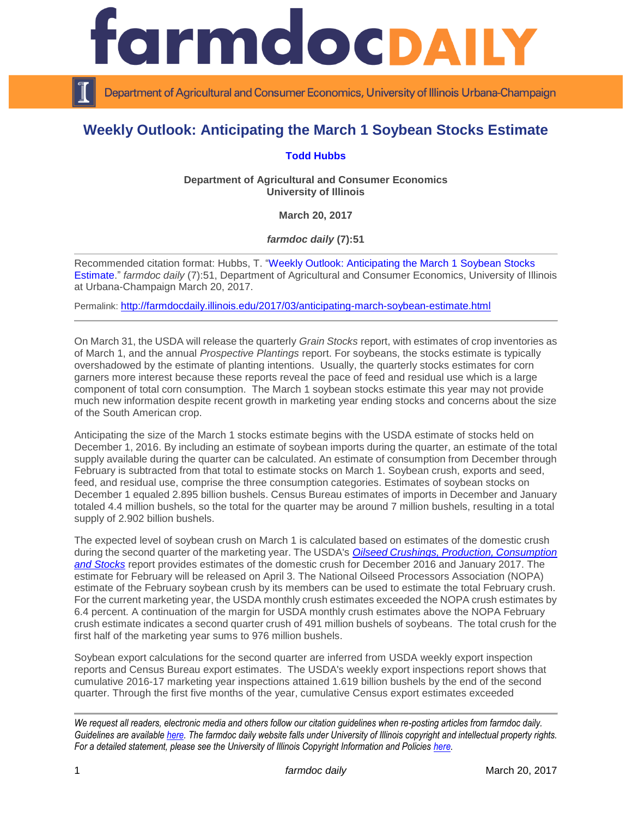

Department of Agricultural and Consumer Economics, University of Illinois Urbana-Champaign

## **Weekly Outlook: Anticipating the March 1 Soybean Stocks Estimate**

## **[Todd Hubbs](http://ace.illinois.edu/directory/jhubbs3)**

**Department of Agricultural and Consumer Economics University of Illinois**

**March 20, 2017**

*farmdoc daily* **(7):51**

Recommended citation format: Hubbs, T. ["Weekly Outlook: Anticipating the March 1 Soybean Stocks](http://farmdocdaily.illinois.edu/2017/03/anticipating-march-soybean-estimate.html)  [Estimate.](http://farmdocdaily.illinois.edu/2017/03/anticipating-march-soybean-estimate.html)" *farmdoc daily* (7):51, Department of Agricultural and Consumer Economics, University of Illinois at Urbana-Champaign March 20, 2017.

Permalink: <http://farmdocdaily.illinois.edu/2017/03/anticipating-march-soybean-estimate.html>

On March 31, the USDA will release the quarterly *Grain Stocks* report, with estimates of crop inventories as of March 1, and the annual *Prospective Plantings* report. For soybeans, the stocks estimate is typically overshadowed by the estimate of planting intentions. Usually, the quarterly stocks estimates for corn garners more interest because these reports reveal the pace of feed and residual use which is a large component of total corn consumption. The March 1 soybean stocks estimate this year may not provide much new information despite recent growth in marketing year ending stocks and concerns about the size of the South American crop.

Anticipating the size of the March 1 stocks estimate begins with the USDA estimate of stocks held on December 1, 2016. By including an estimate of soybean imports during the quarter, an estimate of the total supply available during the quarter can be calculated. An estimate of consumption from December through February is subtracted from that total to estimate stocks on March 1. Soybean crush, exports and seed, feed, and residual use, comprise the three consumption categories. Estimates of soybean stocks on December 1 equaled 2.895 billion bushels. Census Bureau estimates of imports in December and January totaled 4.4 million bushels, so the total for the quarter may be around 7 million bushels, resulting in a total supply of 2.902 billion bushels.

The expected level of soybean crush on March 1 is calculated based on estimates of the domestic crush during the second quarter of the marketing year. The USDA's *[Oilseed Crushings, Production, Consumption](http://usda.mannlib.cornell.edu/MannUsda/viewDocumentInfo.do?documentID=1902)  [and Stocks](http://usda.mannlib.cornell.edu/MannUsda/viewDocumentInfo.do?documentID=1902)* report provides estimates of the domestic crush for December 2016 and January 2017. The estimate for February will be released on April 3. The National Oilseed Processors Association (NOPA) estimate of the February soybean crush by its members can be used to estimate the total February crush. For the current marketing year, the USDA monthly crush estimates exceeded the NOPA crush estimates by 6.4 percent. A continuation of the margin for USDA monthly crush estimates above the NOPA February crush estimate indicates a second quarter crush of 491 million bushels of soybeans. The total crush for the first half of the marketing year sums to 976 million bushels.

Soybean export calculations for the second quarter are inferred from USDA weekly export inspection reports and Census Bureau export estimates. The USDA's weekly export inspections report shows that cumulative 2016-17 marketing year inspections attained 1.619 billion bushels by the end of the second quarter. Through the first five months of the year, cumulative Census export estimates exceeded

*We request all readers, electronic media and others follow our citation guidelines when re-posting articles from farmdoc daily. Guidelines are available [here.](http://farmdocdaily.illinois.edu/citationguide.html) The farmdoc daily website falls under University of Illinois copyright and intellectual property rights. For a detailed statement, please see the University of Illinois Copyright Information and Policies [here.](http://www.cio.illinois.edu/policies/copyright/)*